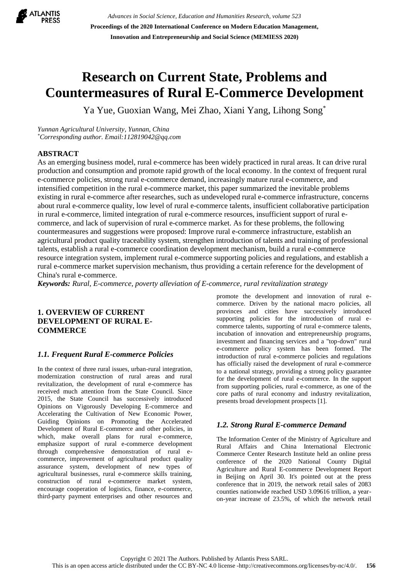

*Advances in Social Science, Education and Humanities Research, volume 523* **Proceedings of the 2020 International Conference on Modern Education Management, Innovation and Entrepreneurship and Social Science (MEMIESS 2020)**

# **Research on Current State, Problems and Countermeasures of Rural E-Commerce Development**

Ya Yue, Guoxian Wang, Mei Zhao, Xiani Yang, Lihong Song\*

*Yunnan Agricultural University, Yunnan, China \*Corresponding author. Email:112819042@qq.com*

## **ABSTRACT**

As an emerging business model, rural e-commerce has been widely practiced in rural areas. It can drive rural production and consumption and promote rapid growth of the local economy. In the context of frequent rural e-commerce policies, strong rural e-commerce demand, increasingly mature rural e-commerce, and intensified competition in the rural e-commerce market, this paper summarized the inevitable problems existing in rural e-commerce after researches, such as undeveloped rural e-commerce infrastructure, concerns about rural e-commerce quality, low level of rural e-commerce talents, insufficient collaborative participation in rural e-commerce, limited integration of rural e-commerce resources, insufficient support of rural ecommerce, and lack of supervision of rural e-commerce market. As for these problems, the following countermeasures and suggestions were proposed: Improve rural e-commerce infrastructure, establish an agricultural product quality traceability system, strengthen introduction of talents and training of professional talents, establish a rural e-commerce coordination development mechanism, build a rural e-commerce resource integration system, implement rural e-commerce supporting policies and regulations, and establish a rural e-commerce market supervision mechanism, thus providing a certain reference for the development of China's rural e-commerce.

*Keywords: Rural, E-commerce, poverty alleviation of E-commerce, rural revitalization strategy*

# **1. OVERVIEW OF CURRENT DEVELOPMENT OF RURAL E-COMMERCE**

## *1.1. Frequent Rural E-commerce Policies*

In the context of three rural issues, urban-rural integration, modernization construction of rural areas and rural revitalization, the development of rural e-commerce has received much attention from the State Council. Since 2015, the State Council has successively introduced Opinions on Vigorously Developing E-commerce and Accelerating the Cultivation of New Economic Power, Guiding Opinions on Promoting the Accelerated Development of Rural E-commerce and other policies, in which, make overall plans for rural e-commerce, emphasize support of rural e-commerce development through comprehensive demonstration of rural ecommerce, improvement of agricultural product quality assurance system, development of new types of agricultural businesses, rural e-commerce skills training, construction of rural e-commerce market system, encourage cooperation of logistics, finance, e-commerce, third-party payment enterprises and other resources and

promote the development and innovation of rural ecommerce. Driven by the national macro policies, all provinces and cities have successively introduced supporting policies for the introduction of rural ecommerce talents, supporting of rural e-commerce talents, incubation of innovation and entrepreneurship programs, investment and financing services and a "top-down" rural e-commerce policy system has been formed. The introduction of rural e-commerce policies and regulations has officially raised the development of rural e-commerce to a national strategy, providing a strong policy guarantee for the development of rural e-commerce. In the support from supporting policies, rural e-commerce, as one of the core paths of rural economy and industry revitalization, presents broad development prospects [1].

## *1.2. Strong Rural E-commerce Demand*

The Information Center of the Ministry of Agriculture and Rural Affairs and China International Electronic Commerce Center Research Institute held an online press conference of the 2020 National County Digital Agriculture and Rural E-commerce Development Report in Beijing on April 30. It's pointed out at the press conference that in 2019, the network retail sales of 2083 counties nationwide reached USD 3.09616 trillion, a yearon-year increase of 23.5%, of which the network retail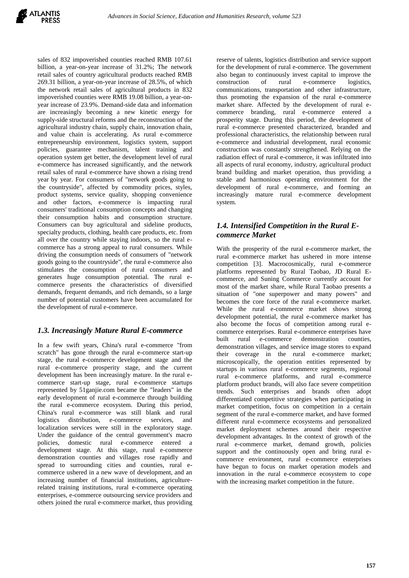sales of 832 impoverished counties reached RMB 107.61 billion, a year-on-year increase of 31.2%; The network retail sales of country agricultural products reached RMB 269.31 billion, a year-on-year increase of 28.5%, of which the network retail sales of agricultural products in 832 impoverished counties were RMB 19.08 billion, a year-onyear increase of 23.9%. Demand-side data and information are increasingly becoming a new kinetic energy for supply-side structural reforms and the reconstruction of the agricultural industry chain, supply chain, innovation chain, and value chain is accelerating. As rural e-commerce entrepreneurship environment, logistics system, support policies, guarantee mechanism, talent training and operation system get better, the development level of rural e-commerce has increased significantly, and the network retail sales of rural e-commerce have shown a rising trend year by year. For consumers of "network goods going to the countryside", affected by commodity prices, styles, product systems, service quality, shopping convenience and other factors, e-commerce is impacting rural consumers' traditional consumption concepts and changing their consumption habits and consumption structure. Consumers can buy agricultural and sideline products, specialty products, clothing, health care products, etc. from all over the country while staying indoors, so the rural ecommerce has a strong appeal to rural consumers. While driving the consumption needs of consumers of "network goods going to the countryside", the rural e-commerce also stimulates the consumption of rural consumers and generates huge consumption potential. The rural ecommerce presents the characteristics of diversified demands, frequent demands, and rich demands, so a large number of potential customers have been accumulated for the development of rural e-commerce.

# *1.3. Increasingly Mature Rural E-commerce*

In a few swift years, China's rural e-commerce "from scratch" has gone through the rural e-commerce start-up stage, the rural e-commerce development stage and the rural e-commerce prosperity stage, and the current development has been increasingly mature. In the rural ecommerce start-up stage, rural e-commerce startups represented by 51ganjie.com became the "leaders" in the early development of rural e-commerce through building the rural e-commerce ecosystem. During this period, China's rural e-commerce was still blank and rural logistics distribution, e-commerce services, and localization services were still in the exploratory stage. Under the guidance of the central government's macro policies, domestic rural e-commerce entered a development stage. At this stage, rural e-commerce demonstration counties and villages rose rapidly and spread to surrounding cities and counties, rural ecommerce ushered in a new wave of development, and an increasing number of financial institutions, agriculturerelated training institutions, rural e-commerce operating enterprises, e-commerce outsourcing service providers and others joined the rural e-commerce market, thus providing

reserve of talents, logistics distribution and service support for the development of rural e-commerce. The government also began to continuously invest capital to improve the construction of rural e-commerce logistics, communications, transportation and other infrastructure, thus promoting the expansion of the rural e-commerce market share. Affected by the development of rural ecommerce branding, rural e-commerce entered a prosperity stage. During this period, the development of rural e-commerce presented characterized, branded and professional characteristics, the relationship between rural e-commerce and industrial development, rural economic construction was constantly strengthened. Relying on the radiation effect of rural e-commerce, it was infiltrated into all aspects of rural economy, industry, agricultural product brand building and market operation, thus providing a stable and harmonious operating environment for the development of rural e-commerce, and forming an increasingly mature rural e-commerce development system.

# *1.4. Intensified Competition in the Rural Ecommerce Market*

With the prosperity of the rural e-commerce market, the rural e-commerce market has ushered in more intense competition [3]. Macrocosmically, rural e-commerce platforms represented by Rural Taobao, JD Rural Ecommerce, and Suning Commerce currently account for most of the market share, while Rural Taobao presents a situation of "one superpower and many powers" and becomes the core force of the rural e-commerce market. While the rural e-commerce market shows strong development potential, the rural e-commerce market has also become the focus of competition among rural ecommerce enterprises. Rural e-commerce enterprises have built rural e-commerce demonstration counties, demonstration villages, and service image stores to expand their coverage in the rural e-commerce market; microscopically, the operation entities represented by startups in various rural e-commerce segments, regional rural e-commerce platforms, and rural e-commerce platform product brands, will also face severe competition trends. Such enterprises and brands often adopt differentiated competitive strategies when participating in market competition, focus on competition in a certain segment of the rural e-commerce market, and have formed different rural e-commerce ecosystems and personalized market deployment schemes around their respective development advantages. In the context of growth of the rural e-commerce market, demand growth, policies support and the continuously open and bring rural ecommerce environment, rural e-commerce enterprises have begun to focus on market operation models and innovation in the rural e-commerce ecosystem to cope with the increasing market competition in the future.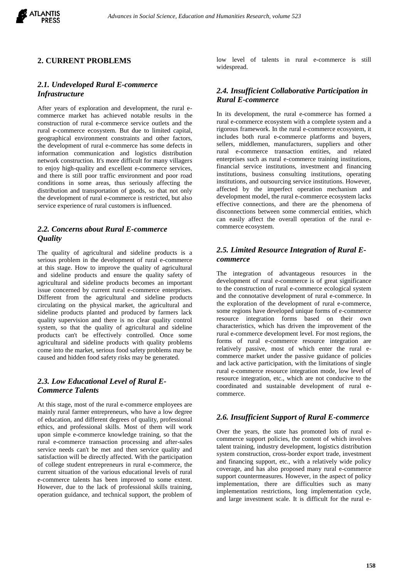

## **2. CURRENT PROBLEMS**

#### *2.1. Undeveloped Rural E-commerce Infrastructure*

After years of exploration and development, the rural ecommerce market has achieved notable results in the construction of rural e-commerce service outlets and the rural e-commerce ecosystem. But due to limited capital, geographical environment constraints and other factors, the development of rural e-commerce has some defects in information communication and logistics distribution network construction. It's more difficult for many villagers to enjoy high-quality and excellent e-commerce services, and there is still poor traffic environment and poor road conditions in some areas, thus seriously affecting the distribution and transportation of goods, so that not only the development of rural e-commerce is restricted, but also service experience of rural customers is influenced.

#### *2.2. Concerns about Rural E-commerce Quality*

The quality of agricultural and sideline products is a serious problem in the development of rural e-commerce at this stage. How to improve the quality of agricultural and sideline products and ensure the quality safety of agricultural and sideline products becomes an important issue concerned by current rural e-commerce enterprises. Different from the agricultural and sideline products circulating on the physical market, the agricultural and sideline products planted and produced by farmers lack quality supervision and there is no clear quality control system, so that the quality of agricultural and sideline products can't be effectively controlled. Once some agricultural and sideline products with quality problems come into the market, serious food safety problems may be caused and hidden food safety risks may be generated.

## *2.3. Low Educational Level of Rural E-Commerce Talents*

At this stage, most of the rural e-commerce employees are mainly rural farmer entrepreneurs, who have a low degree of education, and different degrees of quality, professional ethics, and professional skills. Most of them will work upon simple e-commerce knowledge training, so that the rural e-commerce transaction processing and after-sales service needs can't be met and then service quality and satisfaction will be directly affected. With the participation of college student entrepreneurs in rural e-commerce, the current situation of the various educational levels of rural e-commerce talents has been improved to some extent. However, due to the lack of professional skills training, operation guidance, and technical support, the problem of

low level of talents in rural e-commerce is still widespread.

## *2.4. Insufficient Collaborative Participation in Rural E-commerce*

In its development, the rural e-commerce has formed a rural e-commerce ecosystem with a complete system and a rigorous framework. In the rural e-commerce ecosystem, it includes both rural e-commerce platforms and buyers, sellers, middlemen, manufacturers, suppliers and other rural e-commerce transaction entities, and related enterprises such as rural e-commerce training institutions, financial service institutions, investment and financing institutions, business consulting institutions, operating institutions, and outsourcing service institutions. However, affected by the imperfect operation mechanism and development model, the rural e-commerce ecosystem lacks effective connections, and there are the phenomena of disconnections between some commercial entities, which can easily affect the overall operation of the rural ecommerce ecosystem.

# *2.5. Limited Resource Integration of Rural Ecommerce*

The integration of advantageous resources in the development of rural e-commerce is of great significance to the construction of rural e-commerce ecological system and the connotative development of rural e-commerce. In the exploration of the development of rural e-commerce, some regions have developed unique forms of e-commerce resource integration forms based on their own characteristics, which has driven the improvement of the rural e-commerce development level. For most regions, the forms of rural e-commerce resource integration are relatively passive, most of which enter the rural ecommerce market under the passive guidance of policies and lack active participation, with the limitations of single rural e-commerce resource integration mode, low level of resource integration, etc., which are not conducive to the coordinated and sustainable development of rural ecommerce.

#### *2.6. Insufficient Support of Rural E-commerce*

Over the years, the state has promoted lots of rural ecommerce support policies, the content of which involves talent training, industry development, logistics distribution system construction, cross-border export trade, investment and financing support, etc., with a relatively wide policy coverage, and has also proposed many rural e-commerce support countermeasures. However, in the aspect of policy implementation, there are difficulties such as many implementation restrictions, long implementation cycle, and large investment scale. It is difficult for the rural e-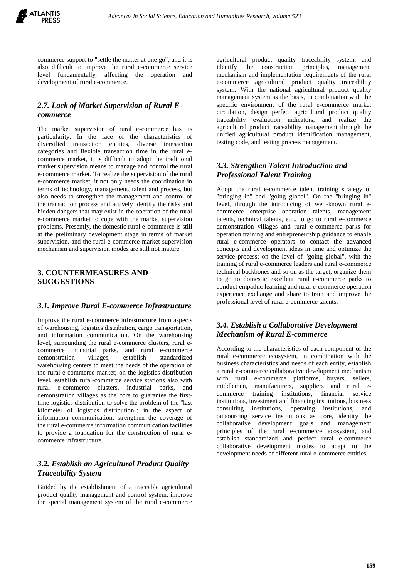

commerce support to "settle the matter at one go", and it is also difficult to improve the rural e-commerce service level fundamentally, affecting the operation and development of rural e-commerce.

## *2.7. Lack of Market Supervision of Rural Ecommerce*

The market supervision of rural e-commerce has its particularity. In the face of the characteristics of diversified transaction entities, diverse transaction categories and flexible transaction time in the rural ecommerce market, it is difficult to adopt the traditional market supervision means to manage and control the rural e-commerce market. To realize the supervision of the rural e-commerce market, it not only needs the coordination in terms of technology, management, talent and process, but also needs to strengthen the management and control of the transaction process and actively identify the risks and hidden dangers that may exist in the operation of the rural e-commerce market to cope with the market supervision problems. Presently, the domestic rural e-commerce is still at the preliminary development stage in terms of market supervision, and the rural e-commerce market supervision mechanism and supervision modes are still not mature.

### **3. COUNTERMEASURES AND SUGGESTIONS**

#### *3.1. Improve Rural E-commerce Infrastructure*

Improve the rural e-commerce infrastructure from aspects of warehousing, logistics distribution, cargo transportation, and information communication. On the warehousing level, surrounding the rural e-commerce clusters, rural ecommerce industrial parks, and rural e-commerce demonstration villages, establish standardized warehousing centers to meet the needs of the operation of the rural e-commerce market; on the logistics distribution level, establish rural-commerce service stations also with rural e-commerce clusters, industrial parks, and demonstration villages as the core to guarantee the firsttime logistics distribution to solve the problem of the "last kilometer of logistics distribution"; in the aspect of information communication, strengthen the coverage of the rural e-commerce information communication facilities to provide a foundation for the construction of rural ecommerce infrastructure.

# *3.2. Establish an Agricultural Product Quality Traceability System*

Guided by the establishment of a traceable agricultural product quality management and control system, improve the special management system of the rural e-commerce agricultural product quality traceability system, and identify the construction principles, management mechanism and implementation requirements of the rural e-commerce agricultural product quality traceability system. With the national agricultural product quality management system as the basis, in combination with the specific environment of the rural e-commerce market circulation, design perfect agricultural product quality traceability evaluation indicators, and realize the agricultural product traceability management through the unified agricultural product identification management, testing code, and testing process management.

# *3.3. Strengthen Talent Introduction and Professional Talent Training*

Adopt the rural e-commerce talent training strategy of "bringing in" and "going global". On the "bringing in" level, through the introducing of well-known rural ecommerce enterprise operation talents, management talents, technical talents, etc., to go to rural e-commerce demonstration villages and rural e-commerce parks for operation training and entrepreneurship guidance to enable rural e-commerce operators to contact the advanced concepts and development ideas in time and optimize the service process; on the level of "going global", with the training of rural e-commerce leaders and rural e-commerce technical backbones and so on as the target, organize them to go to domestic excellent rural e-commerce parks to conduct empathic learning and rural e-commerce operation experience exchange and share to train and improve the professional level of rural e-commerce talents.

#### *3.4. Establish a Collaborative Development Mechanism of Rural E-commerce*

According to the characteristics of each component of the rural e-commerce ecosystem, in combination with the business characteristics and needs of each entity, establish a rural e-commerce collaborative development mechanism with rural e-commerce platforms, buyers, sellers, middlemen, manufacturers, suppliers and rural ecommerce training institutions, financial service institutions, investment and financing institutions, business consulting institutions, operating institutions, and outsourcing service institutions as core, identity the collaborative development goals and management principles of the rural e-commerce ecosystem, and establish standardized and perfect rural e-commerce collaborative development modes to adapt to the development needs of different rural e-commerce entities.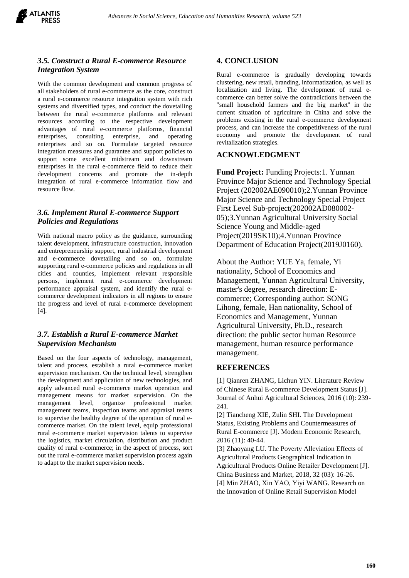

## *3.5. Construct a Rural E-commerce Resource Integration System*

With the common development and common progress of all stakeholders of rural e-commerce as the core, construct a rural e-commerce resource integration system with rich systems and diversified types, and conduct the dovetailing between the rural e-commerce platforms and relevant resources according to the respective development advantages of rural e-commerce platforms, financial enterprises, consulting enterprise, and operating enterprises and so on. Formulate targeted resource integration measures and guarantee and support policies to support some excellent midstream and downstream enterprises in the rural e-commerce field to reduce their development concerns and promote the in-depth integration of rural e-commerce information flow and resource flow.

# *3.6. Implement Rural E-commerce Support Policies and Regulations*

With national macro policy as the guidance, surrounding talent development, infrastructure construction, innovation and entrepreneurship support, rural industrial development and e-commerce dovetailing and so on, formulate supporting rural e-commerce policies and regulations in all cities and counties, implement relevant responsible persons, implement rural e-commerce development performance appraisal system, and identify the rural ecommerce development indicators in all regions to ensure the progress and level of rural e-commerce development [4].

# *3.7. Establish a Rural E-commerce Market Supervision Mechanism*

Based on the four aspects of technology, management, talent and process, establish a rural e-commerce market supervision mechanism. On the technical level, strengthen the development and application of new technologies, and apply advanced rural e-commerce market operation and management means for market supervision. On the management level, organize professional market management teams, inspection teams and appraisal teams to supervise the healthy degree of the operation of rural ecommerce market. On the talent level, equip professional rural e-commerce market supervision talents to supervise the logistics, market circulation, distribution and product quality of rural e-commerce; in the aspect of process, sort out the rural e-commerce market supervision process again to adapt to the market supervision needs.

# **4. CONCLUSION**

Rural e-commerce is gradually developing towards clustering, new retail, branding, informatization, as well as localization and living. The development of rural ecommerce can better solve the contradictions between the "small household farmers and the big market" in the current situation of agriculture in China and solve the problems existing in the rural e-commerce development process, and can increase the competitiveness of the rural economy and promote the development of rural revitalization strategies.

## **ACKNOWLEDGMENT**

**Fund Project:** Funding Projects:1. Yunnan Province Major Science and Technology Special Project (202002AE090010);2.Yunnan Province Major Science and Technology Special Project First Level Sub-project(202002AD080002- 05);3.Yunnan Agricultural University Social Science Young and Middle-aged Project(2019SK10);4.Yunnan Province Department of Education Project(2019J0160).

About the Author: YUE Ya, female, Yi nationality, School of Economics and Management, Yunnan Agricultural University, master's degree, research direction: Ecommerce; Corresponding author: SONG Lihong, female, Han nationality, School of Economics and Management, Yunnan Agricultural University, Ph.D., research direction: the public sector human Resource management, human resource performance management.

## **REFERENCES**

[1] Qianren ZHANG, Lichun YIN. Literature Review of Chinese Rural E-commerce Development Status [J]. Journal of Anhui Agricultural Sciences, 2016 (10): 239- 241.

[2] Tiancheng XIE, Zulin SHI. The Development Status, Existing Problems and Countermeasures of Rural E-commerce [J]. Modern Economic Research, 2016 (11): 40-44.

[3] Zhaoyang LU. The Poverty Alleviation Effects of Agricultural Products Geographical Indication in Agricultural Products Online Retailer Development [J]. China Business and Market, 2018, 32 (03): 16-26. [4] Min ZHAO, Xin YAO, Yiyi WANG. Research on the Innovation of Online Retail Supervision Model